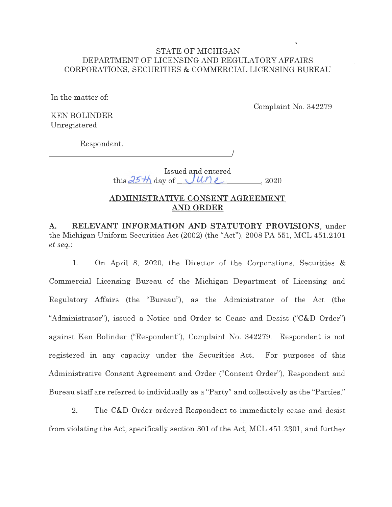## STATE OF MICHIGAN DEPARTMENT OF LICENSING AND REGULATORY AFFAIRS CORPORATIONS, SECURITIES & COMMERCIAL LICENSING BUREAU

In the matter of:

Complaint No. 342279

KEN BOLINDER Unregistered

Respondent.

 $\overline{1}$ 

Issued and entered this  $\frac{25 \text{ H}}{ }$  day of  $\frac{U \text{ U}}{L}$  2020

## **ADMINISTRATIVE CONSENT AGREEMENT AND ORDER**

**A. RELEVANT INFORMATION AND STATUTORY PROVISIONS,** under the Michigan Uniform Securities Act (2002) (the "Act"), 2008 PA 551, MCL 451.2101 *et seq.:* 

1. On April 8, 2020, the Director of the Corporations, Securities & Commercial Licensing Bureau of the Michigan Department of Licensing and Regulatory Affairs (the "Bureau"), as the Administrator of the Act (the "Administrator"), issued a Notice and Order to Cease and Desist ("C&D Order") against Ken Bolinder ("Respondent"), Complaint No. 342279. Respondent is not registered in any capacity under the Securities Act. For purposes of this Administrative Consent Agreement and Order ("Consent Order"), Respondent and Bureau staff are referred to individually as a "Party" and collectively as the "Parties."

2. The C&D Order ordered Respondent to immediately cease and desist from violating the Act, specifically section 301 of the Act, MCL 451.2301, and further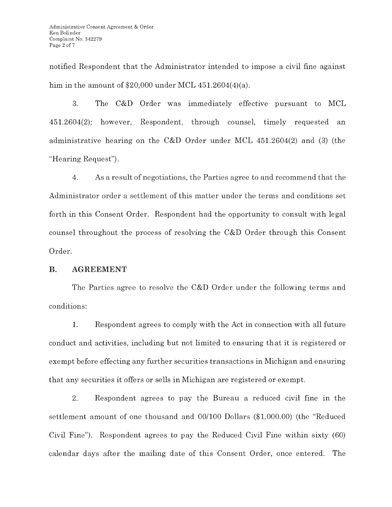notified Respondent that the Administrator intended to impose a civil fine against him in the amount of  $$20,000$  under MCL  $451.2604(4)(a)$ .

3. The C&D Order was immediately effective pursuant to MCL 451.2604(2); however, Respondent, through counsel, timely requested an administrative hearing on the C&D Order under MCL 451.2604(2) and (3) (the "Hearing Request").

4. As a result of negotiations, the Parties agree to and recommend that the Administrator order a settlement of this matter under the terms and conditions set forth in this Consent Order. Respondent had the opportunity to consult with legal counsel throughout the process of resolving the C&D Order through this Consent Order.

## **B. AGREEMENT**

The Parties agree to resolve the C&D Order under the following terms and conditions:

1. Respondent agrees to comply with the Act in connection with all future conduct and activities, including but not limited to ensuring that it is registered or exempt before effecting any further securities transactions in Michigan and ensuring that any securities it offers or sells in Michigan are registered or exempt.

2. Respondent agrees to pay the Bureau a reduced civil fine in the settlement amount of one thousand and 00/100 Dollars (\$1,000.00) (the "Reduced Civil Fine"). Respondent agrees to pay the Reduced Civil Fine within sixty (60) calendar days after the mailing date of this Consent Order, once entered. The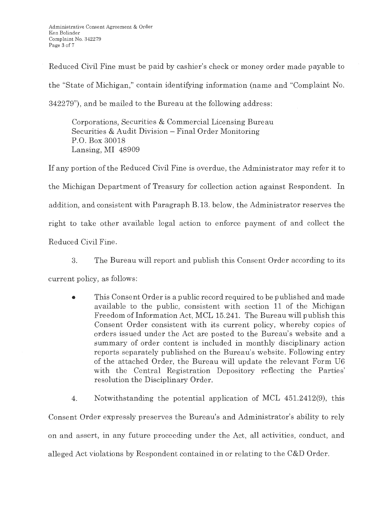Reduced Civil Fine must be paid by cashier's check or money order made payable to the "State of Michigan," contain identifying information (name and "Complaint No. 342279"), and be mailed to the Bureau at the following address:

Corporations, Securities & Commercial Licensing Bureau Securities & Audit Division - Final Order Monitoring P.O. Box 30018 Lansing, MI 48909

If any portion of the Reduced Civil Fine is overdue, the Administrator may refer it to the Michigan Department of Treasury for collection action against Respondent. In addition, and consistent with Paragraph B.13. below, the Administrator reserves the right to take other available legal action to enforce payment of and collect the Reduced Civil Fine.

3. The Bureau will report and publish this Consent Order according to its

current policy, as follows:

• This Consent Order is a public record required to be published and made available to the public, consistent with section 11 of the Michigan Freedom of Information Act, MCL 15.241. The Bureau will publish this Consent Order consistent with its current policy, whereby copies of orders issued under the Act are posted to the Bureau's website and a summary of order content is included in monthly disciplinary action reports separately published on the Bureau's website. Following entry of the attached Order, the Bureau will update the relevant Form U6 with the Central Registration Depository reflecting the Parties' resolution the Disciplinary Order.

4. Notwithstanding the potential application of MCL 451.2412(9), this Consent Order expressly preserves the Bureau's and Administrator's ability to rely on and assert, in any future proceeding under the Act, all activities, conduct, and alleged Act violations by Respondent contained in or relating to the C&D Order.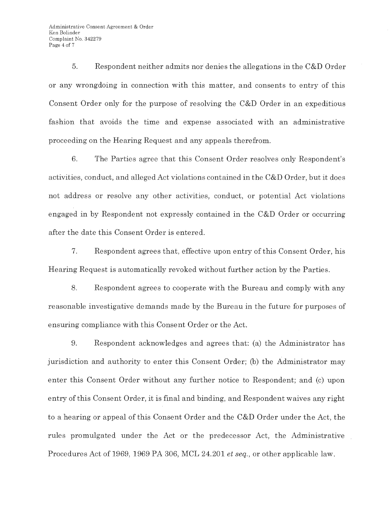5. Respondent neither admits nor denies the allegations in the C&D Order or any wrongdoing in connection with this matter, and consents to entry of this Consent Order only for the purpose of resolving the C&D Order in an expeditious fashion that avoids the time and expense associated with an administrative proceeding on the Hearing Request and any appeals therefrom.

6. The Parties agree that this Consent Order resolves only Respondent's activities, conduct, and alleged Act violations contained in the C&D Order, but it does not address or resolve any other activities, conduct, or potential Act violations engaged in by Respondent not expressly contained in the C&D Order or occurring after the date this Consent Order is entered.

7. Respondent agrees that, effective upon entry of this Consent Order, his Hearing Request is automatically revoked without further action by the Parties.

8. Respondent agrees to cooperate with the Bureau and comply with any reasonable investigative demands made by the Bureau in the future for purposes of ensuring compliance with this Consent Order or the Act.

9. Respondent acknowledges and agrees that: (a) the Administrator has jurisdiction and authority to enter this Consent Order; (b) the Administrator may enter this Consent Order without any further notice to Respondent; and (c) upon entry of this Consent Order, it is final and binding, and Respondent waives any right to a hearing or appeal of this Consent Order and the C&D Order under the Act, the rules promulgated under the Act or the predecessor Act, the Administrative Procedures Act of 1969, 1969 PA 306, MCL 24.201 *et seq.,* or other applicable law.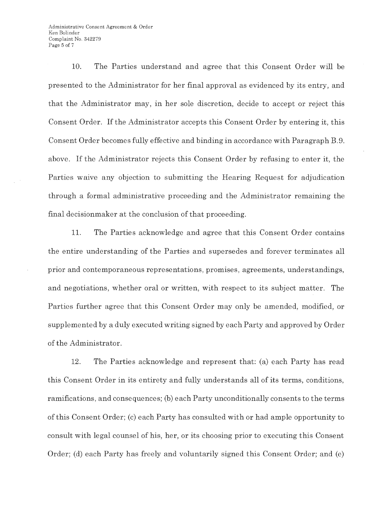Administrative Consent Agreement & Order Ken Bolinder Complaint No. 342279 Page 5 of 7

10. The Parties understand and agree that this Consent Order will be presented to the Administrator for her final approval as evidenced by its entry, and that the Administrator may, in her sole discretion, decide to accept or reject this Consent Order. If the Administrator accepts this Consent Order by entering it, this Consent Order becomes fully effective and binding in accordance with Paragraph B.9. above. If the Administrator rejects this Consent Order by refusing to enter it, the Parties waive any objection to submitting the Hearing Request for adjudication through a formal administrative proceeding and the Administrator remaining the final decisionmaker at the conclusion of that proceeding.

11. The Parties acknowledge and agree that this Consent Order contains the entire understanding of the Parties and supersedes and forever terminates all prior and contemporaneous representations, promises, agreements, understandings, and negotiations, whether oral or written, with respect to its subject matter. The Parties further agree that this Consent Order may only be amended, modified, or supplemented by a duly executed writing signed by each Party and approved by Order of the Administrator.

12. The Parties acknowledge and represent that: (a) each Party has read this Consent Order in its entirety and fully understands all of its terms, conditions, ramifications, and consequences; (b) each Party unconditionally consents to the terms of this Consent Order; (c) each Party has consulted with or had ample opportunity to consult with legal counsel of his, her, or its choosing prior to executing this Consent Order; (d) each Party has freely and voluntarily signed this Consent Order; and (e)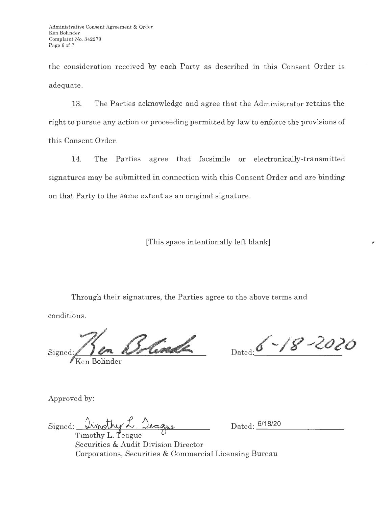the consideration received by each Party as described in this Consent Order is adequate.

13. The Parties acknowledge and agree that the Administrator retains the right to pursue any action or proceeding permitted by law to enforce the provisions of this Consent Order.

14. The Parties agree that facsimile or electronically-transmitted signatures may be submitted in connection with this Consent Order and are binding on that Party to the same extent as an original signature.

[This space intentionally left blank]

Through their signatures, the Parties agree to the above terms and

conditions.

Signed: 1 Sen 15 Contract Dated: 6 - 18 - 2020

*I Ken* Bolinder

,

Approved by:

Signed: <u>Limpthy L. Jeague</u>

Dated: 6/18/20

Securities & Audit Division Director Corporations, Securities & Commercial Licensing Bureau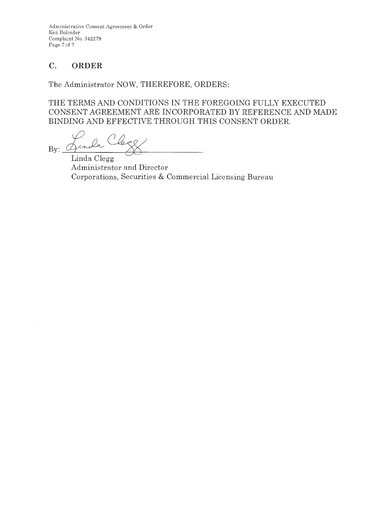Administrative Consent Agreement & Order Ken Bolinder Complaint No. 342279 Page 7 of 7

# **C. ORDER**

The Administrator NOW, THEREFORE, ORDERS:

THE TERMS AND CONDITIONS IN THE FOREGOING FULLY EXECUTED CONSENT AGREEMENT ARE INCORPORATED BY REFERENCE AND MADE BINDING AND EFFECTIVE THROUGH THIS CONSENT ORDER.

 $By:$   $\frac{\sqrt{2}}{\text{Linda Clegg}}$ 

Administrator and Director Corporations, Securities & Commercial Licensing Bureau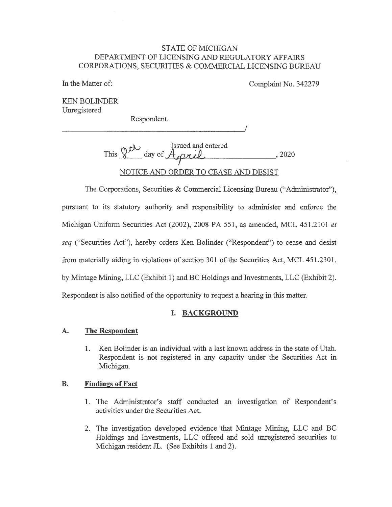#### STATE OF MICHIGAN DEPARTMENT OF LICENSING AND REGULATORY AFFAIRS CORPORATIONS, SECURITIES & COMMERCIAL LICENSING BUREAU

In the Matter of:

Complaint No. 342279

KEN BOLINDER Unregistered

Respondent.

----------------------'/

Issued and entered This 1( day of *~11.1.P\_\_.* , 2020 NOTICE AND ORDER TO CEASE AND DESIST

The Corporations, Securities & Commercial Licensing Bureau ("Administrator"), pursuant to its statutory authority and responsibility to administer and enforce the Michigan Uniform Securities Act (2002), 2008 PA 551, as amended, MCL 451.2101 *et seq* ("Securities Act"), hereby orders Ken Bolinder ("Respondent") to cease and desist from materially aiding in violations of section 301 of the Securities Act, MCL 451.2301, by Mintage Mining, LLC (Exhibit 1) and BC Holdings and Investments, LLC (Exhibit 2). Respondent is also notified of the opportunity to request a hearing in this matter.

## **I. BACKGROUND**

## **A. The Respondent**

1. Ken Bolinder is an individual with a last known address in the state of Utah. Respondent is not registered in any capacity under the Securities Act in Michigan.

## **B. Findings of Fact**

- 1. The Administrator's staff conducted an investigation of Respondent's activities under the Securities Act.
- 2. The investigation developed evidence that Mintage Mining, LLC and BC Holdings and Investments, LLC offered and sold unregistered securities to Michigan resident JL. (See Exhibits 1 and 2).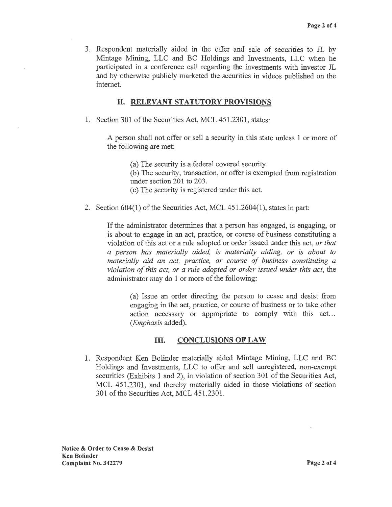3. Respondent materially aided in the offer and sale of securities to JL by Mintage Mining, LLC and BC Holdings and Investments, LLC when he participated in a conference call regarding the investments with investor JL and by otherwise publicly marketed the securities in videos published on the internet.

## II. **RELEVANT STATUTORY PROVISIONS**

1. Section 301 of the Securities Act, MCL 451.2301, states:

A person shall not offer or sell a security in this state unless 1 or more of the following are met:

(a) The security is a federal covered security.

(b) The security, transaction, or offer is exempted from registration under section 201 to 203.

( c) The security is registered under this act.

2. Section 604(1) of the Securities Act, MCL 451.2604(1), states in part:

If the administrator determines that a person has engaged, is engaging, or is about to engage in an act, practice, or course of business constituting a violation of this act or a rule adopted or order issued under this act, *or that a person has materially aided, is materially aiding, or is about to materially aid an act, practice, or course of business constituting a violation of this act; or a rule adopted or order issued under this act,* the administrator may do I or more of the following:

(a) Issue an order directing the person to cease and desist from engaging in the act, practice, or course of business or to take other action necessary or appropriate to comply with this act... *(Emphasis* added).

## III. **CONCLUSIONS OF LAW**

I. Respondent Ken Bolinder materially aided Mintage Mining, LLC and BC Holdings and Investments, LLC to offer and sell unregistered, non-exempt securities (Exhibits I and 2), in violation of section 301 of the Securities Act, MCL 451.2301, and thereby materially aided in those violations of section 301 of the Securities Act, MCL 451.2301.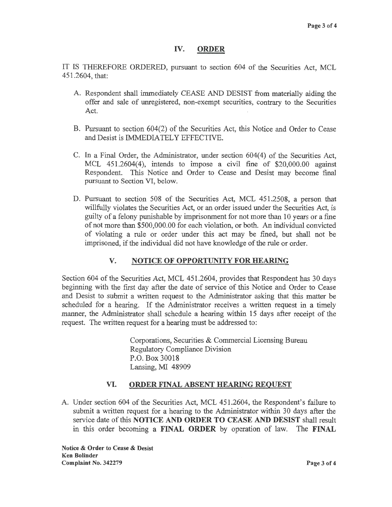## IV. **ORDER**

IT IS THEREFORE ORDERED, pursuant to section 604 of the Securities Act, MCL 451.2604, that:

- A. Respondent shall immediately CEASE AND DESIST from materially aiding the offer and sale of unregistered, non-exempt securities, contrary to the Securities Act
- B. Pursuant to section 604(2) of the Securities Act, this Notice and Order to Cease and Desist is IMMEDIATELY EFFECTIVE.
- C. In a Final Order, the Administrator, under section 604(4) of the Securities Act, MCL 451.2604(4), intends to impose a civil fine of \$20,000.00 against Respondent. This Notice and Order to Cease and Desist may become final pursuant to Section VI, below.
- D. Pursuant to section 508 of the Securities Act, MCL 451.2508, a person that willfully violates the Securities Act, or an order issued under the Securities Act, is guilty of a felony punishable by imprisonment for not more than 10 years or a fine of not more than \$500,000.00 for each violation, or both. An individual convicted of violating a rule or order under this act may be fined, but shall not be imprisoned, if the individual did not have knowledge of the rule or order.

## **V. NOTICE OF OPPORTUNITY FOR HEARING**

Section 604 of the Securities Act, MCL 451.2604, provides that Respondent has 30 days beginning with the first day after the date of service of this Notice and Order to Cease and Desist to submit a written request to the Administrator asking that this matter be scheduled for a hearing. If the Administrator receives a written request in a timely manner, the Administrator shall schedule a hearing within 15 days after receipt of the request. The written request for a hearing must be addressed to:

> Corporations, Securities & Commercial Licensing Bureau Regulatory Compliance Division P.O. Box 30018 Lansing, MI 48909

#### **VI. ORDER FINAL ABSENT HEARING REQUEST**

A. Under section 604 of the Securities Act, MCL 451.2604, the Respondent's failure to submit a written request for a hearing to the Administrator within 30 days after the service date of this **NOTICE AND ORDER TO CEASE AND DESIST** shall result in this order becoming a **FINAL ORDER** by operation of law. The **FINAL** 

**Notice** & **Order to Cease** & **Desist Ken Bolinder Complaint No. 342279 Page3 of4**